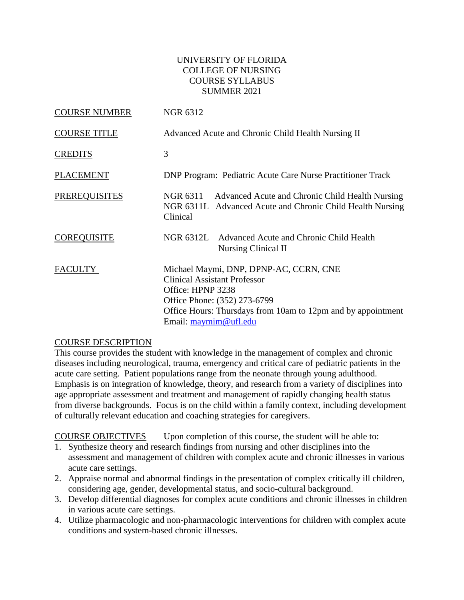### UNIVERSITY OF FLORIDA COLLEGE OF NURSING COURSE SYLLABUS SUMMER 2021

| <b>COURSE NUMBER</b> | <b>NGR 6312</b>                                                                                                                                                                                                               |
|----------------------|-------------------------------------------------------------------------------------------------------------------------------------------------------------------------------------------------------------------------------|
| <b>COURSE TITLE</b>  | Advanced Acute and Chronic Child Health Nursing II                                                                                                                                                                            |
| <b>CREDITS</b>       | 3                                                                                                                                                                                                                             |
| <b>PLACEMENT</b>     | <b>DNP Program: Pediatric Acute Care Nurse Practitioner Track</b>                                                                                                                                                             |
| <b>PREREQUISITES</b> | NGR 6311 Advanced Acute and Chronic Child Health Nursing<br>NGR 6311L Advanced Acute and Chronic Child Health Nursing<br>Clinical                                                                                             |
| <b>COREQUISITE</b>   | NGR 6312L Advanced Acute and Chronic Child Health<br>Nursing Clinical II                                                                                                                                                      |
| <b>FACULTY</b>       | Michael Maymi, DNP, DPNP-AC, CCRN, CNE<br><b>Clinical Assistant Professor</b><br>Office: HPNP 3238<br>Office Phone: (352) 273-6799<br>Office Hours: Thursdays from 10am to 12pm and by appointment<br>Email: $maymim@ufl.edu$ |

#### COURSE DESCRIPTION

This course provides the student with knowledge in the management of complex and chronic diseases including neurological, trauma, emergency and critical care of pediatric patients in the acute care setting. Patient populations range from the neonate through young adulthood. Emphasis is on integration of knowledge, theory, and research from a variety of disciplines into age appropriate assessment and treatment and management of rapidly changing health status from diverse backgrounds. Focus is on the child within a family context, including development of culturally relevant education and coaching strategies for caregivers.

COURSE OBJECTIVES Upon completion of this course, the student will be able to:

- 1. Synthesize theory and research findings from nursing and other disciplines into the assessment and management of children with complex acute and chronic illnesses in various acute care settings.
- 2. Appraise normal and abnormal findings in the presentation of complex critically ill children, considering age, gender, developmental status, and socio-cultural background.
- 3. Develop differential diagnoses for complex acute conditions and chronic illnesses in children in various acute care settings.
- 4. Utilize pharmacologic and non-pharmacologic interventions for children with complex acute conditions and system-based chronic illnesses.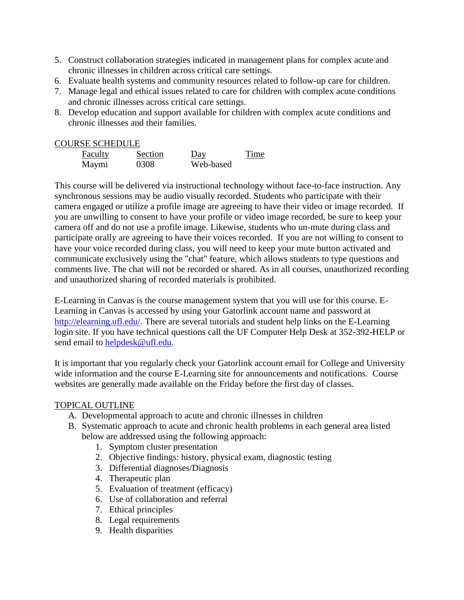- 5. Construct collaboration strategies indicated in management plans for complex acute and chronic illnesses in children across critical care settings.
- 6. Evaluate health systems and community resources related to follow-up care for children.
- 7. Manage legal and ethical issues related to care for children with complex acute conditions and chronic illnesses across critical care settings.
- 8. Develop education and support available for children with complex acute conditions and chronic illnesses and their families.

### COURSE SCHEDULE

| Faculty | Section | Day       | Time |
|---------|---------|-----------|------|
| Maymi   | 0308    | Web-based |      |

This course will be delivered via instructional technology without face-to-face instruction. Any synchronous sessions may be audio visually recorded. Students who participate with their camera engaged or utilize a profile image are agreeing to have their video or image recorded. If you are unwilling to consent to have your profile or video image recorded, be sure to keep your camera off and do not use a profile image. Likewise, students who un-mute during class and participate orally are agreeing to have their voices recorded. If you are not willing to consent to have your voice recorded during class, you will need to keep your mute button activated and communicate exclusively using the "chat" feature, which allows students to type questions and comments live. The chat will not be recorded or shared. As in all courses, unauthorized recording and unauthorized sharing of recorded materials is prohibited.

E-Learning in Canvas is the course management system that you will use for this course. E-Learning in Canvas is accessed by using your Gatorlink account name and password at [http://elearning.ufl.edu/.](http://elearning.ufl.edu/) There are several tutorials and student help links on the E-Learning login site. If you have technical questions call the UF Computer Help Desk at 352-392-HELP or send email to [helpdesk@ufl.edu.](mailto:helpdesk@ufl.edu)

It is important that you regularly check your Gatorlink account email for College and University wide information and the course E-Learning site for announcements and notifications. Course websites are generally made available on the Friday before the first day of classes.

#### TOPICAL OUTLINE

- A. Developmental approach to acute and chronic illnesses in children
- B. Systematic approach to acute and chronic health problems in each general area listed below are addressed using the following approach:
	- 1. Symptom cluster presentation
	- 2. Objective findings: history, physical exam, diagnostic testing
	- 3. Differential diagnoses/Diagnosis
	- 4. Therapeutic plan
	- 5. Evaluation of treatment (efficacy)
	- 6. Use of collaboration and referral
	- 7. Ethical principles
	- 8. Legal requirements
	- 9. Health disparities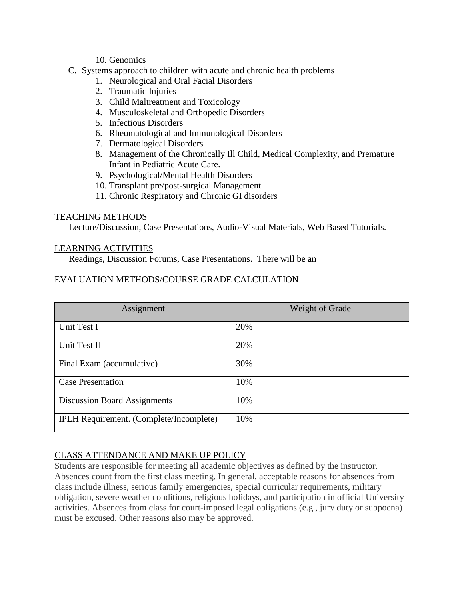### 10. Genomics

### C. Systems approach to children with acute and chronic health problems

- 1. Neurological and Oral Facial Disorders
- 2. Traumatic Injuries
- 3. Child Maltreatment and Toxicology
- 4. Musculoskeletal and Orthopedic Disorders
- 5. Infectious Disorders
- 6. Rheumatological and Immunological Disorders
- 7. Dermatological Disorders
- 8. Management of the Chronically Ill Child, Medical Complexity, and Premature Infant in Pediatric Acute Care.
- 9. Psychological/Mental Health Disorders
- 10. Transplant pre/post-surgical Management
- 11. Chronic Respiratory and Chronic GI disorders

### TEACHING METHODS

Lecture/Discussion, Case Presentations, Audio-Visual Materials, Web Based Tutorials.

### LEARNING ACTIVITIES

Readings, Discussion Forums, Case Presentations. There will be an

# EVALUATION METHODS/COURSE GRADE CALCULATION

| Assignment                                     | Weight of Grade |
|------------------------------------------------|-----------------|
| Unit Test I                                    | 20%             |
| Unit Test II                                   | 20%             |
| Final Exam (accumulative)                      | 30%             |
| <b>Case Presentation</b>                       | 10%             |
| <b>Discussion Board Assignments</b>            | 10%             |
| <b>IPLH Requirement.</b> (Complete/Incomplete) | 10%             |

# CLASS ATTENDANCE AND MAKE UP POLICY

Students are responsible for meeting all academic objectives as defined by the instructor. Absences count from the first class meeting. In general, acceptable reasons for absences from class include illness, serious family emergencies, special curricular requirements, military obligation, severe weather conditions, religious holidays, and participation in official University activities. Absences from class for court-imposed legal obligations (e.g., jury duty or subpoena) must be excused. Other reasons also may be approved.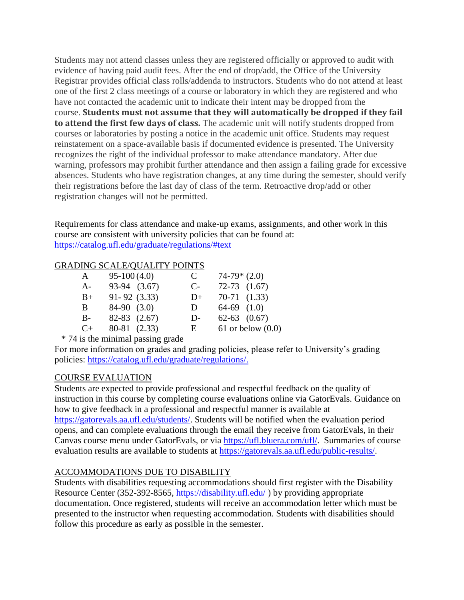Students may not attend classes unless they are registered officially or approved to audit with evidence of having paid audit fees. After the end of drop/add, the Office of the University Registrar provides official class rolls/addenda to instructors. Students who do not attend at least one of the first 2 class meetings of a course or laboratory in which they are registered and who have not contacted the academic unit to indicate their intent may be dropped from the course. **Students must not assume that they will automatically be dropped if they fail to attend the first few days of class.** The academic unit will notify students dropped from courses or laboratories by posting a notice in the academic unit office. Students may request reinstatement on a space-available basis if documented evidence is presented. The University recognizes the right of the individual professor to make attendance mandatory. After due warning, professors may prohibit further attendance and then assign a failing grade for excessive absences. Students who have registration changes, at any time during the semester, should verify their registrations before the last day of class of the term. Retroactive drop/add or other registration changes will not be permitted.

Requirements for class attendance and make-up exams, assignments, and other work in this course are consistent with university policies that can be found at: <https://catalog.ufl.edu/graduate/regulations/#text>

# GRADING SCALE/QUALITY POINTS

| A     | $95-100(4.0)$    | C     | $74-79*(2.0)$       |
|-------|------------------|-------|---------------------|
| $A-$  | 93-94 (3.67)     | $C$ - | $72-73$ $(1.67)$    |
| $B+$  | $91 - 92$ (3.33) | $D+$  | $70-71$ $(1.33)$    |
| B.    | $84-90$ $(3.0)$  | D     | $64-69$ $(1.0)$     |
| $B -$ | $82-83$ $(2.67)$ | $D-$  | $62-63$ $(0.67)$    |
| $C+$  | 80-81 (2.33)     | E     | 61 or below $(0.0)$ |

\* 74 is the minimal passing grade

For more information on grades and grading policies, please refer to University's grading policies: [https://catalog.ufl.edu/graduate/regulations/.](https://catalog.ufl.edu/graduate/regulations/)

# COURSE EVALUATION

Students are expected to provide professional and respectful feedback on the quality of instruction in this course by completing course evaluations online via GatorEvals. Guidance on how to give feedback in a professional and respectful manner is available at [https://gatorevals.aa.ufl.edu/students/.](https://gatorevals.aa.ufl.edu/students/) Students will be notified when the evaluation period opens, and can complete evaluations through the email they receive from GatorEvals, in their Canvas course menu under GatorEvals, or via [https://ufl.bluera.com/ufl/.](https://ufl.bluera.com/ufl/) Summaries of course evaluation results are available to students at [https://gatorevals.aa.ufl.edu/public-results/.](https://gatorevals.aa.ufl.edu/public-results/)

#### ACCOMMODATIONS DUE TO DISABILITY

Students with disabilities requesting accommodations should first register with the Disability Resource Center (352-392-8565,<https://disability.ufl.edu/> ) by providing appropriate documentation. Once registered, students will receive an accommodation letter which must be presented to the instructor when requesting accommodation. Students with disabilities should follow this procedure as early as possible in the semester.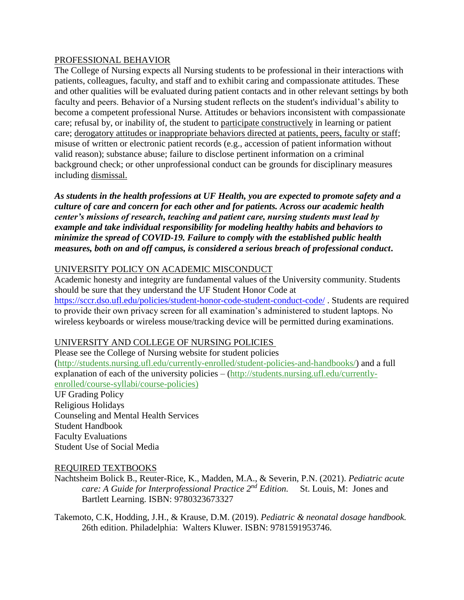### PROFESSIONAL BEHAVIOR

The College of Nursing expects all Nursing students to be professional in their interactions with patients, colleagues, faculty, and staff and to exhibit caring and compassionate attitudes. These and other qualities will be evaluated during patient contacts and in other relevant settings by both faculty and peers. Behavior of a Nursing student reflects on the student's individual's ability to become a competent professional Nurse. Attitudes or behaviors inconsistent with compassionate care; refusal by, or inability of, the student to participate constructively in learning or patient care; derogatory attitudes or inappropriate behaviors directed at patients, peers, faculty or staff; misuse of written or electronic patient records (e.g., accession of patient information without valid reason); substance abuse; failure to disclose pertinent information on a criminal background check; or other unprofessional conduct can be grounds for disciplinary measures including dismissal.

*As students in the health professions at UF Health, you are expected to promote safety and a culture of care and concern for each other and for patients. Across our academic health center's missions of research, teaching and patient care, nursing students must lead by example and take individual responsibility for modeling healthy habits and behaviors to minimize the spread of COVID-19. Failure to comply with the established public health measures, both on and off campus, is considered a serious breach of professional conduct***.** 

# UNIVERSITY POLICY ON ACADEMIC MISCONDUCT

Academic honesty and integrity are fundamental values of the University community. Students should be sure that they understand the UF Student Honor Code at <https://sccr.dso.ufl.edu/policies/student-honor-code-student-conduct-code/> . Students are required to provide their own privacy screen for all examination's administered to student laptops. No wireless keyboards or wireless mouse/tracking device will be permitted during examinations.

# UNIVERSITY AND COLLEGE OF NURSING POLICIES

Please see the College of Nursing website for student policies [\(http://students.nursing.ufl.edu/currently-enrolled/student-policies-and-handbooks/\)](http://students.nursing.ufl.edu/currently-enrolled/student-policies-and-handbooks/) and a full explanation of each of the university policies – [\(http://students.nursing.ufl.edu/currently](http://students.nursing.ufl.edu/currently-enrolled/course-syllabi/course-policies)[enrolled/course-syllabi/course-policies\)](http://students.nursing.ufl.edu/currently-enrolled/course-syllabi/course-policies)

UF Grading Policy Religious Holidays Counseling and Mental Health Services Student Handbook Faculty Evaluations Student Use of Social Media

#### REQUIRED TEXTBOOKS

Nachtsheim Bolick B., Reuter-Rice, K., Madden, M.A., & Severin, P.N. (2021). *Pediatric acute care: A Guide for Interprofessional Practice 2 nd Edition.* St. Louis, M: Jones and Bartlett Learning. ISBN: 9780323673327

Takemoto, C.K, Hodding, J.H., & Krause, D.M. (2019). *Pediatric & neonatal dosage handbook.*  26th edition. Philadelphia: Walters Kluwer. ISBN: 9781591953746.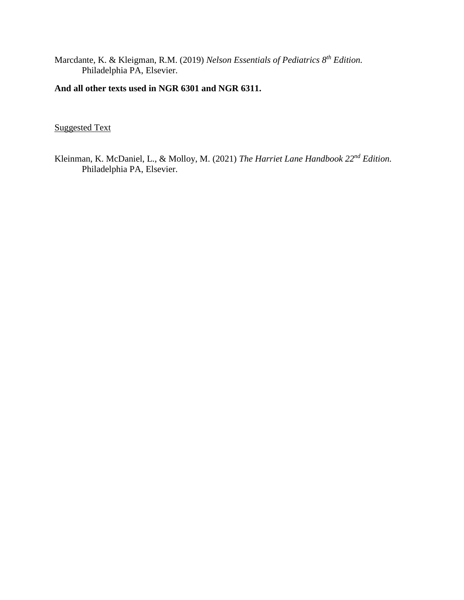Marcdante, K. & Kleigman, R.M. (2019) *Nelson Essentials of Pediatrics 8th Edition.* Philadelphia PA, Elsevier.

# **And all other texts used in NGR 6301 and NGR 6311.**

Suggested Text

Kleinman, K. McDaniel, L., & Molloy, M. (2021) *The Harriet Lane Handbook 22nd Edition.*  Philadelphia PA, Elsevier.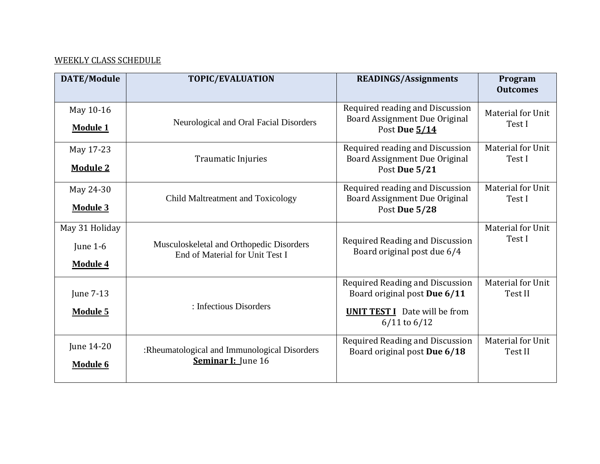# WEEKLY CLASS SCHEDULE

| <b>DATE/Module</b>                            | <b>TOPIC/EVALUATION</b>                                                     | <b>READINGS/Assignments</b>                                                                                                 | Program<br><b>Outcomes</b>   |
|-----------------------------------------------|-----------------------------------------------------------------------------|-----------------------------------------------------------------------------------------------------------------------------|------------------------------|
| May 10-16<br><b>Module 1</b>                  | Neurological and Oral Facial Disorders                                      | Required reading and Discussion<br>Board Assignment Due Original<br>Post Due 5/14                                           | Material for Unit<br>Test I  |
| May 17-23<br><b>Module 2</b>                  | <b>Traumatic Injuries</b>                                                   | Required reading and Discussion<br>Board Assignment Due Original<br>Post Due 5/21                                           | Material for Unit<br>Test I  |
| May 24-30<br><b>Module 3</b>                  | Child Maltreatment and Toxicology                                           | Required reading and Discussion<br>Board Assignment Due Original<br>Post Due 5/28                                           | Material for Unit<br>Test I  |
| May 31 Holiday<br>June 1-6<br><b>Module 4</b> | Musculoskeletal and Orthopedic Disorders<br>End of Material for Unit Test I | Required Reading and Discussion<br>Board original post due 6/4                                                              | Material for Unit<br>Test I  |
| June 7-13<br><b>Module 5</b>                  | : Infectious Disorders                                                      | Required Reading and Discussion<br>Board original post Due 6/11<br><b>UNIT TEST I</b> Date will be from<br>$6/11$ to $6/12$ | Material for Unit<br>Test II |
| June 14-20<br><b>Module 6</b>                 | :Rheumatological and Immunological Disorders<br><b>Seminar I:</b> June 16   | Required Reading and Discussion<br>Board original post Due 6/18                                                             | Material for Unit<br>Test II |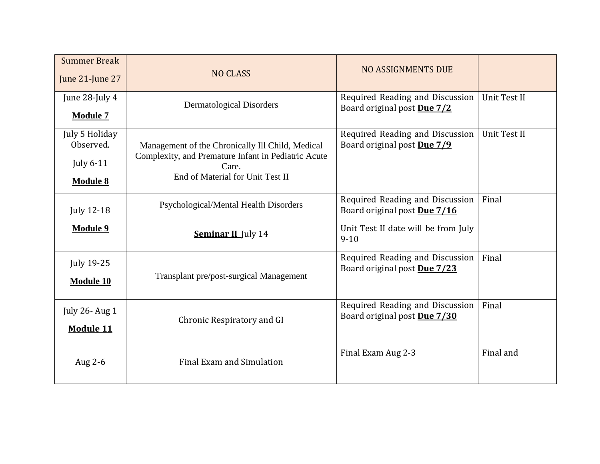| <b>Summer Break</b><br>June 21-June 27                             | <b>NO CLASS</b>                                                                                                                                      | <b>NO ASSIGNMENTS DUE</b>                                                                                          |              |
|--------------------------------------------------------------------|------------------------------------------------------------------------------------------------------------------------------------------------------|--------------------------------------------------------------------------------------------------------------------|--------------|
| June 28-July 4<br><b>Module 7</b>                                  | <b>Dermatological Disorders</b>                                                                                                                      | Required Reading and Discussion<br>Board original post Due 7/2                                                     | Unit Test II |
| July 5 Holiday<br>Observed.<br><b>July 6-11</b><br><b>Module 8</b> | Management of the Chronically Ill Child, Medical<br>Complexity, and Premature Infant in Pediatric Acute<br>Care.<br>End of Material for Unit Test II | Required Reading and Discussion<br>Board original post Due 7/9                                                     | Unit Test II |
| <b>July 12-18</b><br>Module 9                                      | Psychological/Mental Health Disorders<br><b>Seminar II</b> July 14                                                                                   | Required Reading and Discussion<br>Board original post Due 7/16<br>Unit Test II date will be from July<br>$9 - 10$ | Final        |
| <b>July 19-25</b><br><b>Module 10</b>                              | Transplant pre/post-surgical Management                                                                                                              | Required Reading and Discussion<br>Board original post Due 7/23                                                    | Final        |
| July 26- Aug 1<br><b>Module 11</b>                                 | Chronic Respiratory and GI                                                                                                                           | Required Reading and Discussion<br>Board original post Due 7/30                                                    | Final        |
| Aug 2-6                                                            | <b>Final Exam and Simulation</b>                                                                                                                     | Final Exam Aug 2-3                                                                                                 | Final and    |